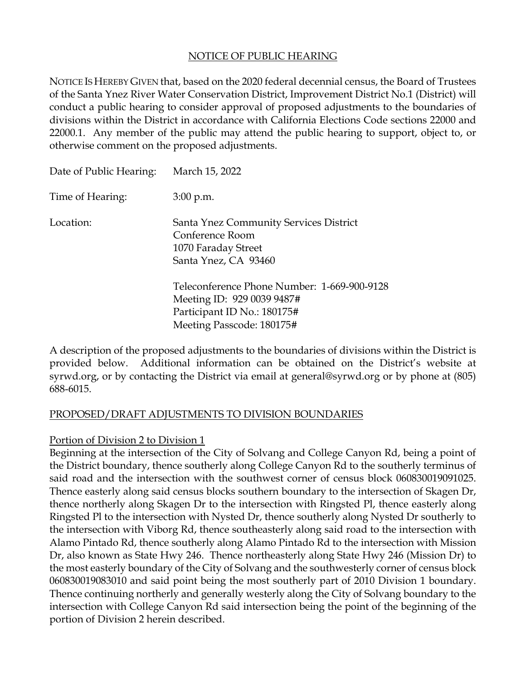#### NOTICE OF PUBLIC HEARING

NOTICE IS HEREBY GIVEN that, based on the 2020 federal decennial census, the Board of Trustees of the Santa Ynez River Water Conservation District, Improvement District No.1 (District) will conduct a public hearing to consider approval of proposed adjustments to the boundaries of divisions within the District in accordance with California Elections Code sections 22000 and 22000.1. Any member of the public may attend the public hearing to support, object to, or otherwise comment on the proposed adjustments.

| Date of Public Hearing: | March 15, 2022                                                                                                                        |
|-------------------------|---------------------------------------------------------------------------------------------------------------------------------------|
| Time of Hearing:        | $3:00$ p.m.                                                                                                                           |
| Location:               | Santa Ynez Community Services District<br>Conference Room<br>1070 Faraday Street<br>Santa Ynez, CA 93460                              |
|                         | Teleconference Phone Number: 1-669-900-9128<br>Meeting ID: 929 0039 9487#<br>Participant ID No.: 180175#<br>Meeting Passcode: 180175# |

A description of the proposed adjustments to the boundaries of divisions within the District is provided below. Additional information can be obtained on the District's website at syrwd.org, or by contacting the District via email at general@syrwd.org or by phone at (805) 688-6015.

#### PROPOSED/DRAFT ADJUSTMENTS TO DIVISION BOUNDARIES

#### Portion of Division 2 to Division 1

Beginning at the intersection of the City of Solvang and College Canyon Rd, being a point of the District boundary, thence southerly along College Canyon Rd to the southerly terminus of said road and the intersection with the southwest corner of census block 060830019091025. Thence easterly along said census blocks southern boundary to the intersection of Skagen Dr, thence northerly along Skagen Dr to the intersection with Ringsted Pl, thence easterly along Ringsted Pl to the intersection with Nysted Dr, thence southerly along Nysted Dr southerly to the intersection with Viborg Rd, thence southeasterly along said road to the intersection with Alamo Pintado Rd, thence southerly along Alamo Pintado Rd to the intersection with Mission Dr, also known as State Hwy 246. Thence northeasterly along State Hwy 246 (Mission Dr) to the most easterly boundary of the City of Solvang and the southwesterly corner of census block 060830019083010 and said point being the most southerly part of 2010 Division 1 boundary. Thence continuing northerly and generally westerly along the City of Solvang boundary to the intersection with College Canyon Rd said intersection being the point of the beginning of the portion of Division 2 herein described.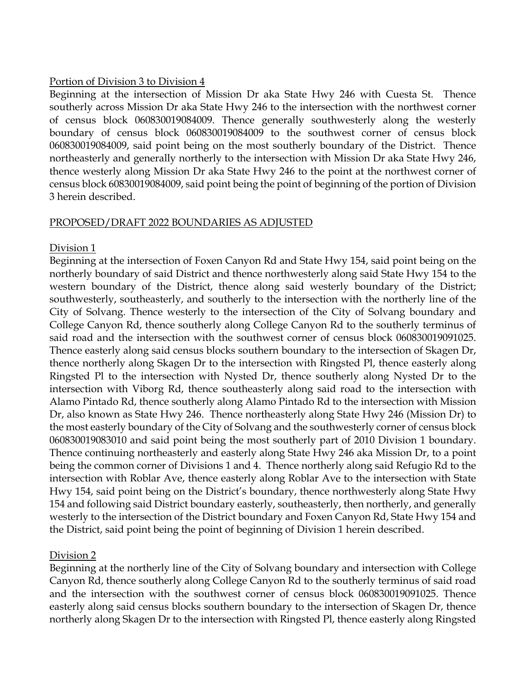### Portion of Division 3 to Division 4

Beginning at the intersection of Mission Dr aka State Hwy 246 with Cuesta St. Thence southerly across Mission Dr aka State Hwy 246 to the intersection with the northwest corner of census block 060830019084009. Thence generally southwesterly along the westerly boundary of census block 060830019084009 to the southwest corner of census block 060830019084009, said point being on the most southerly boundary of the District. Thence northeasterly and generally northerly to the intersection with Mission Dr aka State Hwy 246, thence westerly along Mission Dr aka State Hwy 246 to the point at the northwest corner of census block 60830019084009, said point being the point of beginning of the portion of Division 3 herein described.

## PROPOSED/DRAFT 2022 BOUNDARIES AS ADJUSTED

## Division 1

Beginning at the intersection of Foxen Canyon Rd and State Hwy 154, said point being on the northerly boundary of said District and thence northwesterly along said State Hwy 154 to the western boundary of the District, thence along said westerly boundary of the District; southwesterly, southeasterly, and southerly to the intersection with the northerly line of the City of Solvang. Thence westerly to the intersection of the City of Solvang boundary and College Canyon Rd, thence southerly along College Canyon Rd to the southerly terminus of said road and the intersection with the southwest corner of census block 060830019091025. Thence easterly along said census blocks southern boundary to the intersection of Skagen Dr, thence northerly along Skagen Dr to the intersection with Ringsted Pl, thence easterly along Ringsted Pl to the intersection with Nysted Dr, thence southerly along Nysted Dr to the intersection with Viborg Rd, thence southeasterly along said road to the intersection with Alamo Pintado Rd, thence southerly along Alamo Pintado Rd to the intersection with Mission Dr, also known as State Hwy 246. Thence northeasterly along State Hwy 246 (Mission Dr) to the most easterly boundary of the City of Solvang and the southwesterly corner of census block 060830019083010 and said point being the most southerly part of 2010 Division 1 boundary. Thence continuing northeasterly and easterly along State Hwy 246 aka Mission Dr, to a point being the common corner of Divisions 1 and 4. Thence northerly along said Refugio Rd to the intersection with Roblar Ave, thence easterly along Roblar Ave to the intersection with State Hwy 154, said point being on the District's boundary, thence northwesterly along State Hwy 154 and following said District boundary easterly, southeasterly, then northerly, and generally westerly to the intersection of the District boundary and Foxen Canyon Rd, State Hwy 154 and the District, said point being the point of beginning of Division 1 herein described.

# Division 2

Beginning at the northerly line of the City of Solvang boundary and intersection with College Canyon Rd, thence southerly along College Canyon Rd to the southerly terminus of said road and the intersection with the southwest corner of census block 060830019091025. Thence easterly along said census blocks southern boundary to the intersection of Skagen Dr, thence northerly along Skagen Dr to the intersection with Ringsted Pl, thence easterly along Ringsted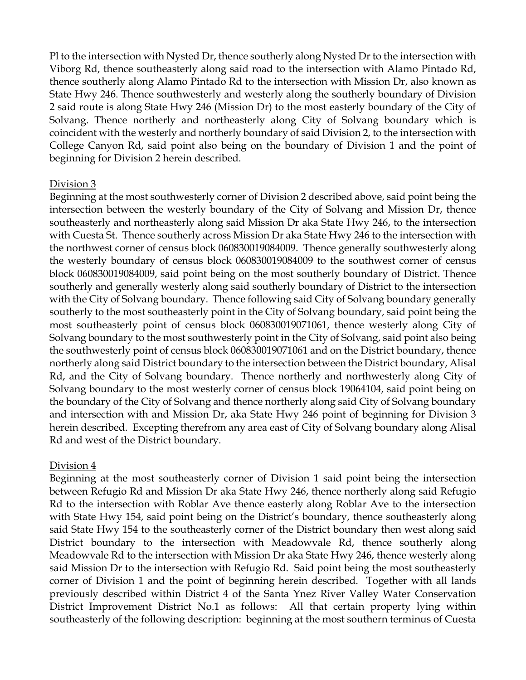Pl to the intersection with Nysted Dr, thence southerly along Nysted Dr to the intersection with Viborg Rd, thence southeasterly along said road to the intersection with Alamo Pintado Rd, thence southerly along Alamo Pintado Rd to the intersection with Mission Dr, also known as State Hwy 246. Thence southwesterly and westerly along the southerly boundary of Division 2 said route is along State Hwy 246 (Mission Dr) to the most easterly boundary of the City of Solvang. Thence northerly and northeasterly along City of Solvang boundary which is coincident with the westerly and northerly boundary of said Division 2, to the intersection with College Canyon Rd, said point also being on the boundary of Division 1 and the point of beginning for Division 2 herein described.

## Division 3

Beginning at the most southwesterly corner of Division 2 described above, said point being the intersection between the westerly boundary of the City of Solvang and Mission Dr, thence southeasterly and northeasterly along said Mission Dr aka State Hwy 246, to the intersection with Cuesta St. Thence southerly across Mission Dr aka State Hwy 246 to the intersection with the northwest corner of census block 060830019084009. Thence generally southwesterly along the westerly boundary of census block 060830019084009 to the southwest corner of census block 060830019084009, said point being on the most southerly boundary of District. Thence southerly and generally westerly along said southerly boundary of District to the intersection with the City of Solvang boundary. Thence following said City of Solvang boundary generally southerly to the most southeasterly point in the City of Solvang boundary, said point being the most southeasterly point of census block 060830019071061, thence westerly along City of Solvang boundary to the most southwesterly point in the City of Solvang, said point also being the southwesterly point of census block 060830019071061 and on the District boundary, thence northerly along said District boundary to the intersection between the District boundary, Alisal Rd, and the City of Solvang boundary. Thence northerly and northwesterly along City of Solvang boundary to the most westerly corner of census block 19064104, said point being on the boundary of the City of Solvang and thence northerly along said City of Solvang boundary and intersection with and Mission Dr, aka State Hwy 246 point of beginning for Division 3 herein described. Excepting therefrom any area east of City of Solvang boundary along Alisal Rd and west of the District boundary.

# Division 4

Beginning at the most southeasterly corner of Division 1 said point being the intersection between Refugio Rd and Mission Dr aka State Hwy 246, thence northerly along said Refugio Rd to the intersection with Roblar Ave thence easterly along Roblar Ave to the intersection with State Hwy 154, said point being on the District's boundary, thence southeasterly along said State Hwy 154 to the southeasterly corner of the District boundary then west along said District boundary to the intersection with Meadowvale Rd, thence southerly along Meadowvale Rd to the intersection with Mission Dr aka State Hwy 246, thence westerly along said Mission Dr to the intersection with Refugio Rd. Said point being the most southeasterly corner of Division 1 and the point of beginning herein described. Together with all lands previously described within District 4 of the Santa Ynez River Valley Water Conservation District Improvement District No.1 as follows: All that certain property lying within southeasterly of the following description: beginning at the most southern terminus of Cuesta